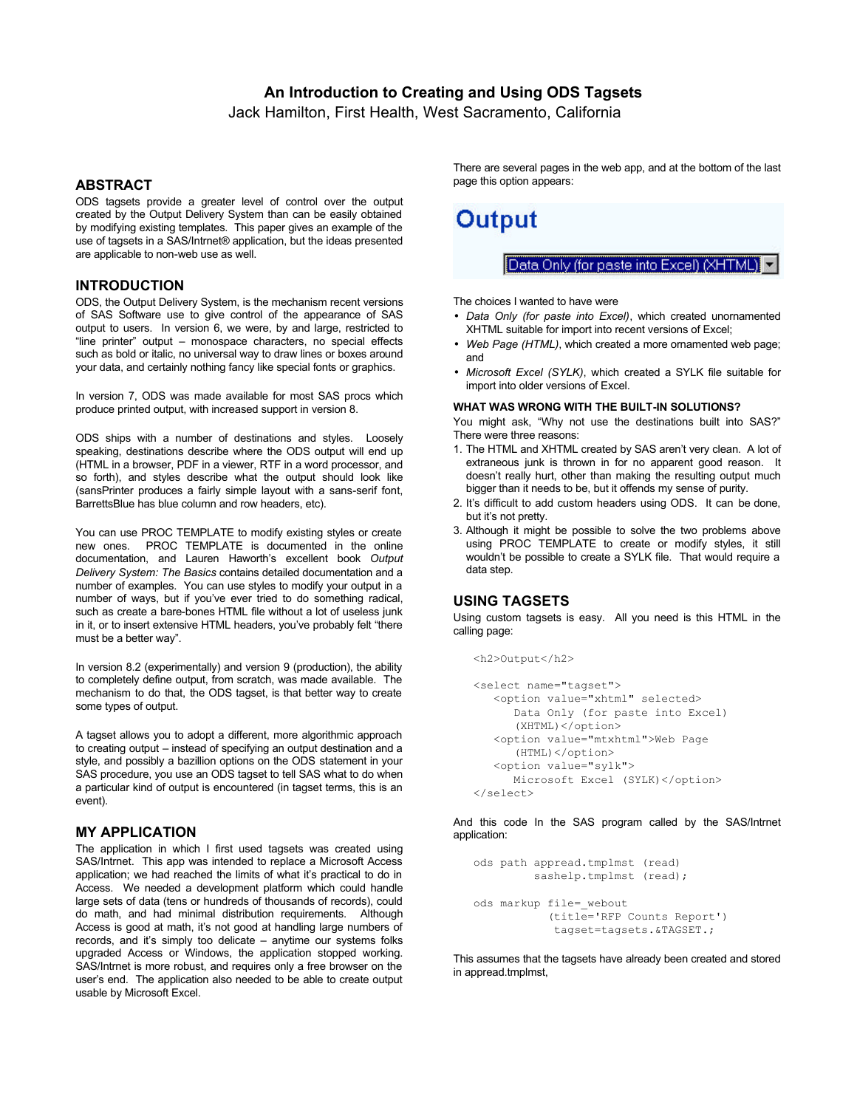# **An Introduction to Creating and Using ODS Tagsets**

Jack Hamilton, First Health, West Sacramento, California

## **ABSTRACT**

ODS tagsets provide a greater level of control over the output created by the Output Delivery System than can be easily obtained by modifying existing templates. This paper gives an example of the use of tagsets in a SAS/Intrnet® application, but the ideas presented are applicable to non-web use as well.

# **INTRODUCTION**

ODS, the Output Delivery System, is the mechanism recent versions of SAS Software use to give control of the appearance of SAS output to users. In version 6, we were, by and large, restricted to "line printer" output – monospace characters, no special effects such as bold or italic, no universal way to draw lines or boxes around your data, and certainly nothing fancy like special fonts or graphics.

In version 7, ODS was made available for most SAS procs which produce printed output, with increased support in version 8.

ODS ships with a number of destinations and styles. Loosely speaking, destinations describe where the ODS output will end up (HTML in a browser, PDF in a viewer, RTF in a word processor, and so forth), and styles describe what the output should look like (sansPrinter produces a fairly simple layout with a sans-serif font, BarrettsBlue has blue column and row headers, etc).

You can use PROC TEMPLATE to modify existing styles or create new ones. PROC TEMPLATE is documented in the online documentation, and Lauren Haworth's excellent book *Output Delivery System: The Basics* contains detailed documentation and a number of examples. You can use styles to modify your output in a number of ways, but if you've ever tried to do something radical, such as create a bare-bones HTML file without a lot of useless junk in it, or to insert extensive HTML headers, you've probably felt "there must be a better way".

In version 8.2 (experimentally) and version 9 (production), the ability to completely define output, from scratch, was made available. The mechanism to do that, the ODS tagset, is that better way to create some types of output.

A tagset allows you to adopt a different, more algorithmic approach to creating output – instead of specifying an output destination and a style, and possibly a bazillion options on the ODS statement in your SAS procedure, you use an ODS tagset to tell SAS what to do when a particular kind of output is encountered (in tagset terms, this is an event).

## **MY APPLICATION**

The application in which I first used tagsets was created using SAS/Intrnet. This app was intended to replace a Microsoft Access application; we had reached the limits of what it's practical to do in Access. We needed a development platform which could handle large sets of data (tens or hundreds of thousands of records), could do math, and had minimal distribution requirements. Although Access is good at math, it's not good at handling large numbers of records, and it's simply too delicate – anytime our systems folks upgraded Access or Windows, the application stopped working. SAS/Intrnet is more robust, and requires only a free browser on the user's end. The application also needed to be able to create output usable by Microsoft Excel.

There are several pages in the web app, and at the bottom of the last page this option appears:



Data Only (for paste into Excel) (XHTML).

The choices I wanted to have were

- *Data Only (for paste into Excel)*, which created unornamented XHTML suitable for import into recent versions of Excel;
- *Web Page (HTML)*, which created a more ornamented web page; and
- *Microsoft Excel (SYLK)*, which created a SYLK file suitable for import into older versions of Excel.

#### **WHAT WAS WRONG WITH THE BUILT-IN SOLUTIONS?**

You might ask, "Why not use the destinations built into SAS?" There were three reasons:

- 1. The HTML and XHTML created by SAS aren't very clean. A lot of extraneous junk is thrown in for no apparent good reason. It doesn't really hurt, other than making the resulting output much bigger than it needs to be, but it offends my sense of purity.
- 2. It's difficult to add custom headers using ODS. It can be done, but it's not pretty.
- 3. Although it might be possible to solve the two problems above using PROC TEMPLATE to create or modify styles, it still wouldn't be possible to create a SYLK file. That would require a data step.

## **USING TAGSETS**

 $<$ h2> $0$ utput $<$ /h2>

Using custom tagsets is easy. All you need is this HTML in the calling page:

```
<select name="tagset">
    <option value="xhtml" selected>
       Data Only (for paste into Excel) 
       (XHTML)</option>
    <option value="mtxhtml">Web Page
       (HTML)</option>
    <option value="sylk">
      Microsoft Excel (SYLK)</option>
</select>
```
And this code In the SAS program called by the SAS/Intrnet application:

```
ods path appread.tmplmst (read)
         sashelp.tmplmst (read);
ods markup file= webout
            (title='RFP Counts Report')
             tagset=tagsets.&TAGSET.;
```
This assumes that the tagsets have already been created and stored in appread.tmplmst,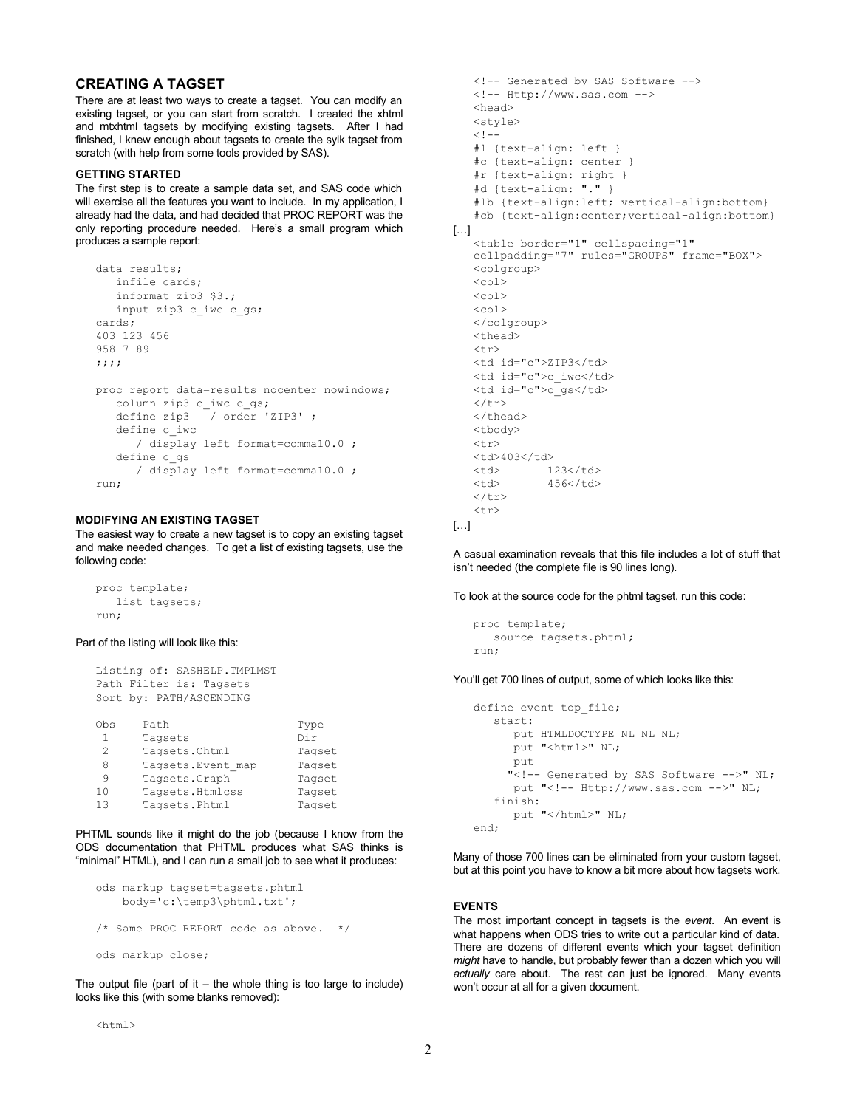# **CREATING A TAGSET**

There are at least two ways to create a tagset. You can modify an existing tagset, or you can start from scratch. I created the xhtml and mtxhtml tagsets by modifying existing tagsets. After I had finished, I knew enough about tagsets to create the sylk tagset from scratch (with help from some tools provided by SAS).

#### **GETTING STARTED**

The first step is to create a sample data set, and SAS code which will exercise all the features you want to include. In my application, I already had the data, and had decided that PROC REPORT was the only reporting procedure needed. Here's a small program which produces a sample report:

```
data results;
    infile cards;
    informat zip3 $3.;
    input zip3 c_iwc c_gs;
cards;
403 123 456
958 7 89
;;;;
proc report data=results nocenter nowindows;
    column zip3 c_iwc c_gs;
    define zip3 / order 'ZIP3' ;
    define c_iwc 
      / display left format=comma10.0 ;
    define c_gs 
       / display left format=comma10.0 ;
run;
```
## **MODIFYING AN EXISTING TAGSET**

The easiest way to create a new tagset is to copy an existing tagset and make needed changes. To get a list of existing tagsets, use the following code:

```
proc template;
    list tagsets;
run;
```
#### Part of the listing will look like this:

```
Listing of: SASHELP.TMPLMST
Path Filter is: Tagsets
Sort by: PATH/ASCENDING
Obs Path Type
1 Tagsets Dir<br>2 Tagsets.Chtml Tags
      Tagsets.Chtml Tagset
8 Tagsets.Event map Tagset
9 Tagsets.Graph Tagset<br>10 Tagsets.Htmlcss Tagset
      Tagsets.Htmlcss Tagset
```
13 Tagsets.Phtml Tagset

PHTML sounds like it might do the job (because I know from the ODS documentation that PHTML produces what SAS thinks is "minimal" HTML), and I can run a small job to see what it produces:

```
ods markup tagset=tagsets.phtml
     body='c:\temp3\phtml.txt';
/* Same PROC REPORT code as above. */
ods markup close;
```
The output file (part of it  $-$  the whole thing is too large to include) looks like this (with some blanks removed):

```
<!-- Generated by SAS Software -->
   <!-- Http://www.sas.com -->
   <head>
   <style>
   < 1 - -#l {text-align: left }
   #c {text-align: center }
   #r {text-align: right }
   #d {text-align: "." }
   #lb {text-align:left; vertical-align:bottom}
   #cb {text-align:center;vertical-align:bottom}
[…]
   <table border="1" cellspacing="1" 
   cellpadding="7" rules="GROUPS" frame="BOX">
   <colgroup>
   \langlecol\rangle<col>\simcol\geq</colgroup>
   <thead>
   \langle \text{tr} \rangle<td id="c">ZIP3</td>
   <td id="c">c_iwc</td>
   <td id="c">c_gs</td>
   \langle/tr>
   </thead>
   <tbody>
   <tr>
   <td>403</td>
   <td> 123</td> <td> 456</td>
               456</td>
   \langle/tr>
   <tr>
```

```
\left[\ldots\right]
```
A casual examination reveals that this file includes a lot of stuff that isn't needed (the complete file is 90 lines long).

To look at the source code for the phtml tagset, run this code:

```
proc template;
    source tagsets.phtml;
run;
```
You'll get 700 lines of output, some of which looks like this:

```
define event top_file;
   start:
     put HTMLDOCTYPE NL NL NL;
      put "<html>" NL;
      put 
     "<!-- Generated by SAS Software -->" NL;
     put "<!-- Http://www.sas.com -->" NL;
    finish:
      put "</html>" NL;
end;
```
Many of those 700 lines can be eliminated from your custom tagset, but at this point you have to know a bit more about how tagsets work.

### **EVENTS**

The most important concept in tagsets is the *event*. An event is what happens when ODS tries to write out a particular kind of data. There are dozens of different events which your tagset definition *might* have to handle, but probably fewer than a dozen which you will *actually* care about. The rest can just be ignored. Many events won't occur at all for a given document.

 $<$ h $+$ ml $>$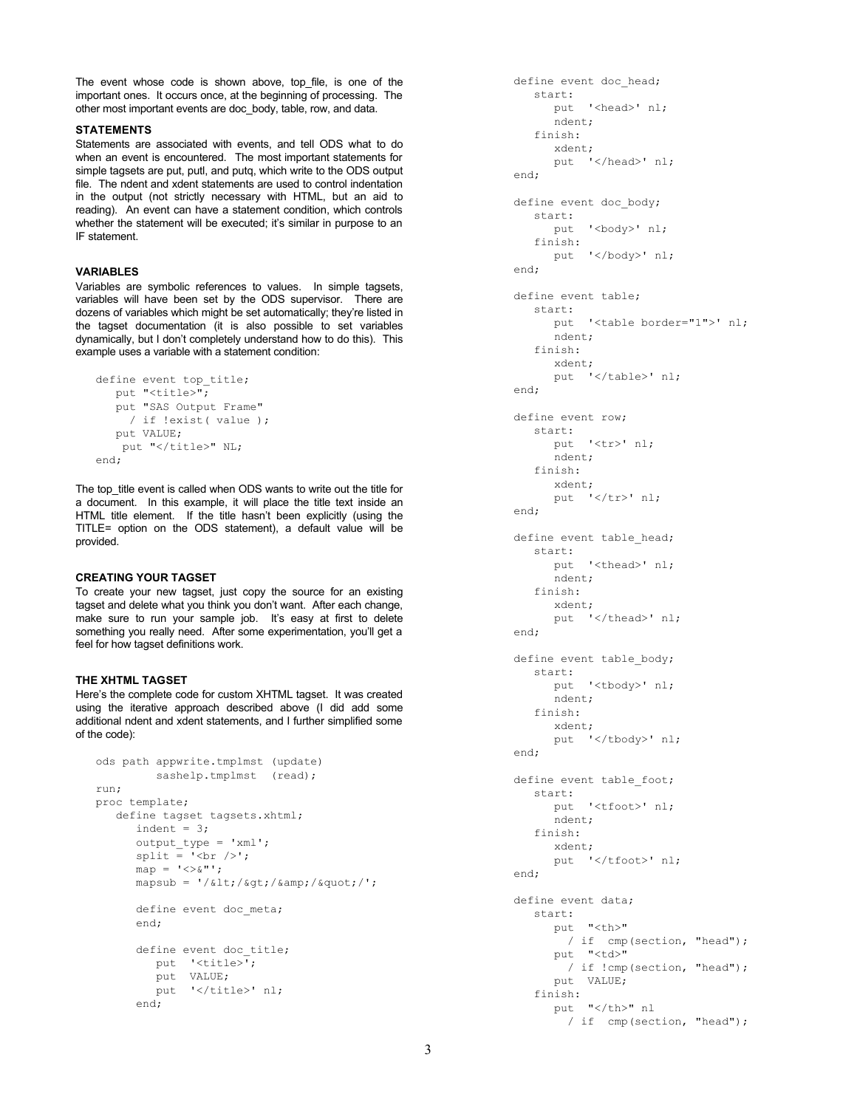The event whose code is shown above, top file, is one of the important ones. It occurs once, at the beginning of processing. The other most important events are doc\_body, table, row, and data.

## **STATEMENTS**

Statements are associated with events, and tell ODS what to do when an event is encountered. The most important statements for simple tagsets are put, putl, and putq, which write to the ODS output file. The ndent and xdent statements are used to control indentation in the output (not strictly necessary with HTML, but an aid to reading). An event can have a statement condition, which controls whether the statement will be executed; it's similar in purpose to an IF statement.

#### **VARIABLES**

Variables are symbolic references to values. In simple tagsets, variables will have been set by the ODS supervisor. There are dozens of variables which might be set automatically; they're listed in the tagset documentation (it is also possible to set variables dynamically, but I don't completely understand how to do this). This example uses a variable with a statement condition:

```
define event top title;
   put "<title>";
    put "SAS Output Frame" 
     / if !exist( value );
    put VALUE;
   put "</title>" NL;
end;
```
The top\_title event is called when ODS wants to write out the title for a document. In this example, it will place the title text inside an HTML title element. If the title hasn't been explicitly (using the TITLE= option on the ODS statement), a default value will be provided.

## **CREATING YOUR TAGSET**

To create your new tagset, just copy the source for an existing tagset and delete what you think you don't want. After each change, make sure to run your sample job. It's easy at first to delete something you really need. After some experimentation, you'll get a feel for how tagset definitions work.

### **THE XHTML TAGSET**

Here's the complete code for custom XHTML tagset. It was created using the iterative approach described above (I did add some additional ndent and xdent statements, and I further simplified some of the code):

```
ods path appwrite.tmplmst (update)
          sashelp.tmplmst (read);
run;
proc template; 
    define tagset tagsets.xhtml; 
      indent = 3; output_type = 'xml';
      split = ' <br / >';
      map = ' \ll \& '';mapsub = \frac{1}{k} \tilde{l}:/\delta qt;/\delta amp;/\delta quot;/';
      define event doc meta;
       end;
      define event doc title;
          put '<title>'; 
          put VALUE;
          put '</title>' nl;
       end;
```

```
define event doc head;
    start:
       put '<head>' nl;
       ndent;
    finish:
      xdent;
       put '</head>' nl;
 end;
define event doc body;
   start:
      put '<br/>body>' nl;
    finish:
       put '</body>' nl;
 end;
 define event table;
    start:
       put '<table border="1">' nl;
       ndent;
    finish:
       xdent;
      put '</table>' nl;
 end;
 define event row;
    start:
       put '<tr>' nl;
       ndent;
    finish:
       xdent;
      put '</tr>' nl;
 end;
define event table head;
    start:
       put '<thead>' nl;
       ndent;
    finish:
       xdent;
      put '</thead>' nl;
 end;
define event table body;
    start:
      put '<tbody>' nl;
       ndent;
    finish:
       xdent;
       put '</tbody>' nl;
 end;
define event table foot;
    start:
       put '<tfoot>' nl;
       ndent;
    finish:
       xdent;
      put '</tfoot>' nl;
 end;
 define event data;
   start:
       put "<th>" 
         / if cmp(section, "head");
       put "<td>" 
         / if !cmp(section, "head");
       put VALUE;
    finish:
      put "</th>" nl
         / if cmp(section, "head");
```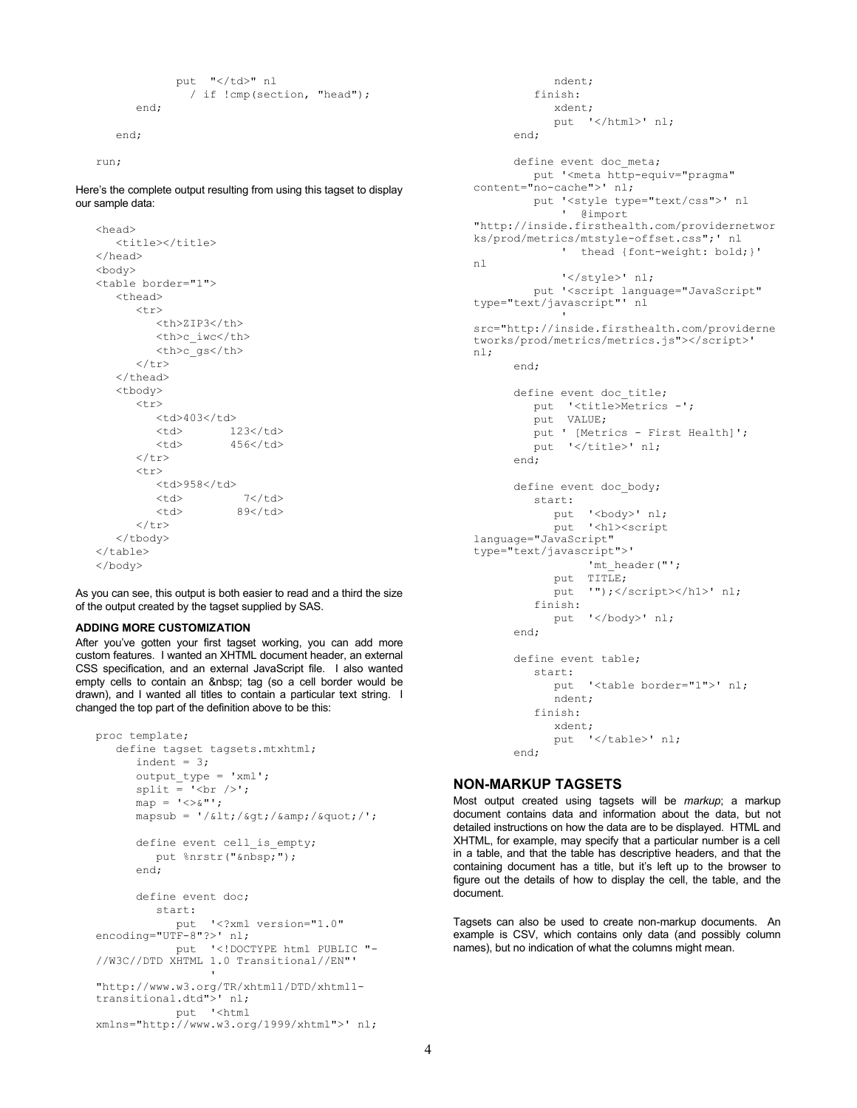```
put "</td>" nl
         / if !cmp(section, "head");
 end;
```

```
 end;
```
run;

Here's the complete output resulting from using this tagset to display our sample data:

```
<head>
   <title></title>
</head>
<body>
<table border="1">
    <thead>
       <tr>
          <th>ZIP3</th>
          <th>c_iwc</th>
          <th>c_gs</th>
      \langle/tr>
   </thead>
    <tbody>
      <tr>
         <td>403</td>
         <td> 123</td>
         <td> 456</td>
      \langle/tr>
      <tr>
         <td>958</td><br><td> 7</td>
         <td><td> 89</td>
      \langle/tr>
    </tbody>
</table>
</body>
```
As you can see, this output is both easier to read and a third the size of the output created by the tagset supplied by SAS.

#### **ADDING MORE CUSTOMIZATION**

After you've gotten your first tagset working, you can add more custom features. I wanted an XHTML document header, an external CSS specification, and an external JavaScript file. I also wanted empty cells to contain an tag (so a cell border would be drawn), and I wanted all titles to contain a particular text string. I changed the top part of the definition above to be this:

```
proc template;
    define tagset tagsets.mtxhtml;
       indent = 3;
       output_type = 'xml';
      split = '<br> />';
       map = '<>&"';
      mapsub = ' / < 1t;/\sqrt{gt};/\frac{km}{r}/\frac{quot}{r}/';
      define event cell is empty;
         put \text{snrstr}('kmbsp;"); end;
       define event doc;
          start:
             put '<?xml version="1.0"
encoding="UTF-8"?>' nl;
              put '<!DOCTYPE html PUBLIC "-
//W3C//DTD XHTML 1.0 Transitional//EN"' 
the contract of the contract of the
"http://www.w3.org/TR/xhtml1/DTD/xhtml1-
transitional.dtd">' nl;
             put '<html 
xmlns="http://www.w3.org/1999/xhtml">' nl;
```

```
 ndent;
          finish:
             xdent;
             put '</html>' nl;
       end;
      define event doc meta;
          put '<meta http-equiv="pragma" 
content="no-cache">' nl;
         put '<style type="text/css">' nl
              ' @import 
"http://inside.firsthealth.com/providernetwor
ks/prod/metrics/mtstyle-offset.css";' nl
               ' thead {font-weight: bold;}' 
nl
               '</style>' nl;
          put '<script language="JavaScript" 
type="text/javascript"' nl
the control of the control of
src="http://inside.firsthealth.com/providerne
tworks/prod/metrics/metrics.js"></script>' 
nl;
       end;
       define event doc_title;
          put '<title>Metrics -'; 
         put VALUE;
          put ' [Metrics - First Health]';
         put '</title>' nl;
       end;
       define event doc_body;
          start:
            put '<br/>body>' nl;
             put '<h1><script 
language="JavaScript" 
type="text/javascript">'
                  'mt_header("';
            put TITLE;<br>put '"); </
                  '");</script></h1>' nl;
           finish:
             put '</body>' nl;
       end;
       define event table;
          start:
             put '<table border="1">' nl;
             ndent;
           finish:
             xdent;
            put '</table>' nl;
```
# **NON-MARKUP TAGSETS**

end;

Most output created using tagsets will be *markup*; a markup document contains data and information about the data, but not detailed instructions on how the data are to be displayed. HTML and XHTML, for example, may specify that a particular number is a cell in a table, and that the table has descriptive headers, and that the containing document has a title, but it's left up to the browser to figure out the details of how to display the cell, the table, and the document.

Tagsets can also be used to create non-markup documents. An example is CSV, which contains only data (and possibly column names), but no indication of what the columns might mean.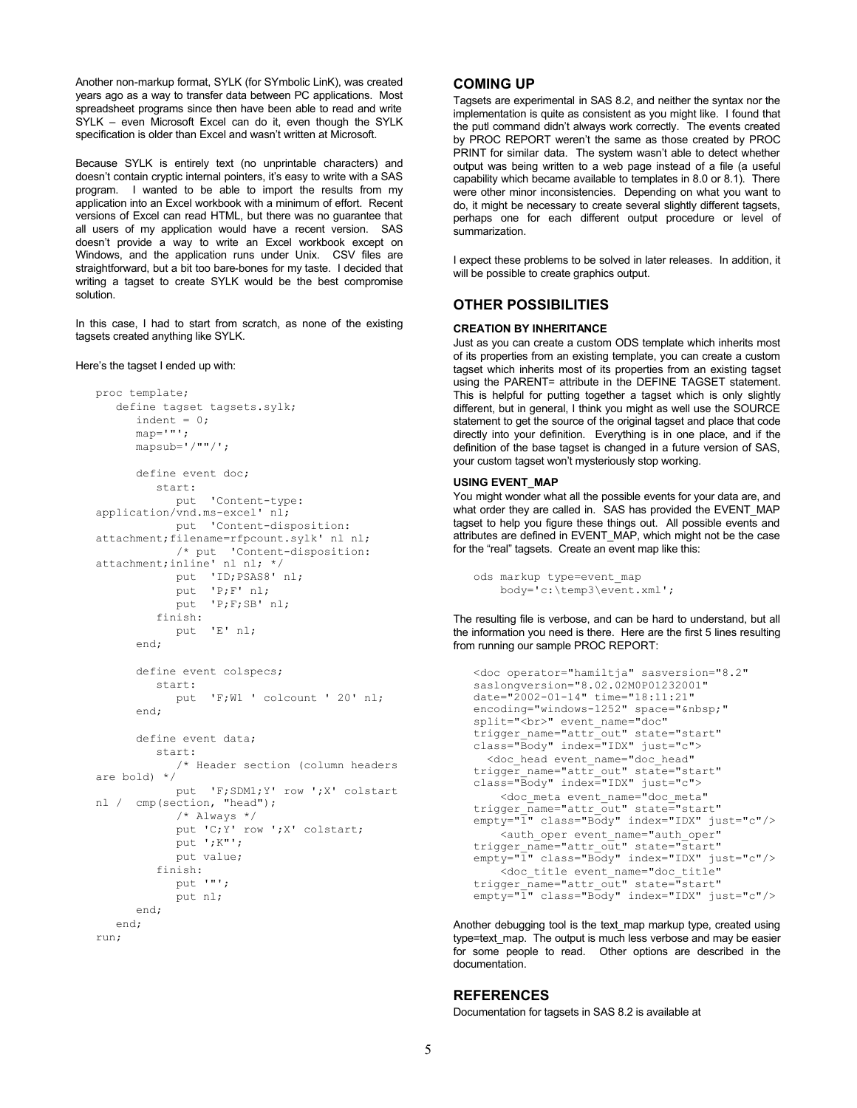Another non-markup format, SYLK (for SYmbolic LinK), was created years ago as a way to transfer data between PC applications. Most spreadsheet programs since then have been able to read and write SYLK – even Microsoft Excel can do it, even though the SYLK specification is older than Excel and wasn't written at Microsoft.

Because SYLK is entirely text (no unprintable characters) and doesn't contain cryptic internal pointers, it's easy to write with a SAS program. I wanted to be able to import the results from my application into an Excel workbook with a minimum of effort. Recent versions of Excel can read HTML, but there was no guarantee that all users of my application would have a recent version. SAS doesn't provide a way to write an Excel workbook except on Windows, and the application runs under Unix. CSV files are straightforward, but a bit too bare-bones for my taste. I decided that writing a tagset to create SYLK would be the best compromise solution.

In this case, I had to start from scratch, as none of the existing tagsets created anything like SYLK.

#### Here's the tagset I ended up with:

```
proc template;
    define tagset tagsets.sylk;
      indent = 0;map='"';
       mapsub='/""/';
       define event doc;
          start:
             put 'Content-type: 
application/vnd.ms-excel' nl;
             put 'Content-disposition: 
attachment;filename=rfpcount.sylk' nl nl;
              /* put 'Content-disposition: 
attachment;inline' nl nl; */
             put 'ID;PSAS8' nl;
             put 'P;F' nl;
            .<br>put 'P;F;SB' nl;
          finish:
             put 'E' nl;
       end;
       define event colspecs;
          start:
             put 'F;W1 ' colcount ' 20' nl;
       end;
       define event data;
          start:
             /* Header section (column headers 
are bold) */
             put 'F;SDM1;Y' row ';X' colstart 
nl / cmp(section, "head");
             /* Always */
             put 'C;Y' row ';X' colstart;
             put ';K"';
             put value;
          finish:
             put '"';
             put nl;
       end;
    end;
run;
```
# **COMING UP**

Tagsets are experimental in SAS 8.2, and neither the syntax nor the implementation is quite as consistent as you might like. I found that the putl command didn't always work correctly. The events created by PROC REPORT weren't the same as those created by PROC PRINT for similar data. The system wasn't able to detect whether output was being written to a web page instead of a file (a useful capability which became available to templates in 8.0 or 8.1). There were other minor inconsistencies. Depending on what you want to do, it might be necessary to create several slightly different tagsets, perhaps one for each different output procedure or level of summarization

I expect these problems to be solved in later releases. In addition, it will be possible to create graphics output.

# **OTHER POSSIBILITIES**

### **CREATION BY INHERITANCE**

Just as you can create a custom ODS template which inherits most of its properties from an existing template, you can create a custom tagset which inherits most of its properties from an existing tagset using the PARENT= attribute in the DEFINE TAGSET statement. This is helpful for putting together a tagset which is only slightly different, but in general, I think you might as well use the SOURCE statement to get the source of the original tagset and place that code directly into your definition. Everything is in one place, and if the definition of the base tagset is changed in a future version of SAS, your custom tagset won't mysteriously stop working.

#### **USING EVENT\_MAP**

You might wonder what all the possible events for your data are, and what order they are called in. SAS has provided the EVENT\_MAP tagset to help you figure these things out. All possible events and attributes are defined in EVENT\_MAP, which might not be the case for the "real" tagsets. Create an event map like this:

```
ods markup type=event_map
     body='c:\temp3\event.xml';
```
The resulting file is verbose, and can be hard to understand, but all the information you need is there. Here are the first 5 lines resulting from running our sample PROC REPORT:

```
<doc operator="hamiltja" sasversion="8.2" 
saslongversion="8.02.02M0P01232001" 
date="2002-01-14" time="18:11:21" 
encoding="windows-1252" space=" "
split="<br>" event_name="doc" 
trigger_name="attr_out" state="start" 
class="Body" index="IDX" just="c">
   <doc_head event_name="doc_head" 
trigger name="attr out" state="start"
class="Body" index="IDX" just="c">
     <doc_meta event_name="doc_meta" 
trigger name="attr out" state="start"
empty="1" class="Body" index="IDX" just="c"/>
     <auth_oper event_name="auth_oper" 
trigger name="attr out" state="start"
empty="1" class="Body" index="IDX" just="c"/>
     <doc_title event_name="doc_title" 
trigger_name="attr_out" state="start" 
empty="1" class="Body" index="IDX" just="c"/>
```
Another debugging tool is the text\_map markup type, created using type=text\_map. The output is much less verbose and may be easier for some people to read. Other options are described in the documentation.

### **REFERENCES**

Documentation for tagsets in SAS 8.2 is available at